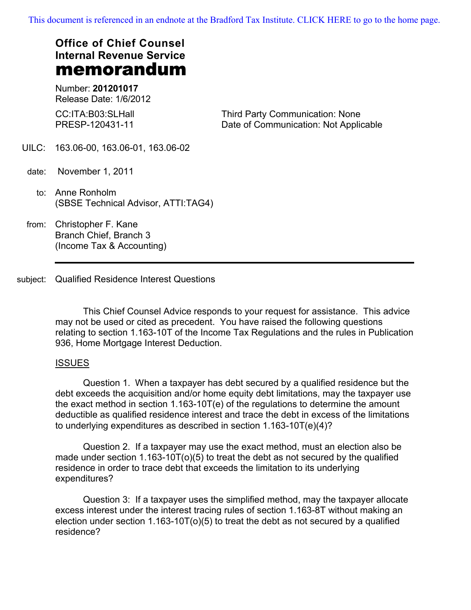[This document is referenced in an endnote at the Bradford Tax Institute. CLICK HERE to go to the home page.](www.bradfordtaxinstitute.com)

# **Office of Chief Counsel Internal Revenue Service** memorandum

Number: **201201017** Release Date: 1/6/2012

CC:ITA:B03:SLHall PRESP-120431-11

Third Party Communication: None Date of Communication: Not Applicable

- UILC: 163.06-00, 163.06-01, 163.06-02
- date: November 1, 2011
	- to: Anne Ronholm (SBSE Technical Advisor, ATTI:TAG4)
- from: Christopher F. Kane Branch Chief, Branch 3 (Income Tax & Accounting)
- subject: Qualified Residence Interest Questions

This Chief Counsel Advice responds to your request for assistance. This advice may not be used or cited as precedent. You have raised the following questions relating to section 1.163-10T of the Income Tax Regulations and the rules in Publication 936, Home Mortgage Interest Deduction.

## ISSUES

Question 1. When a taxpayer has debt secured by a qualified residence but the debt exceeds the acquisition and/or home equity debt limitations, may the taxpayer use the exact method in section 1.163-10T(e) of the regulations to determine the amount deductible as qualified residence interest and trace the debt in excess of the limitations to underlying expenditures as described in section 1.163-10T(e)(4)?

Question 2. If a taxpayer may use the exact method, must an election also be made under section 1.163-10T(o)(5) to treat the debt as not secured by the qualified residence in order to trace debt that exceeds the limitation to its underlying expenditures?

Question 3: If a taxpayer uses the simplified method, may the taxpayer allocate excess interest under the interest tracing rules of section 1.163-8T without making an election under section 1.163-10T(o)(5) to treat the debt as not secured by a qualified residence?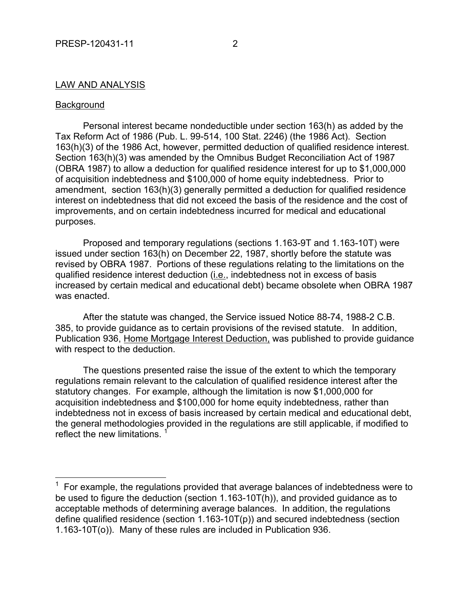#### LAW AND ANALYSIS

#### Background

 $\overline{a}$ 

Personal interest became nondeductible under section 163(h) as added by the Tax Reform Act of 1986 (Pub. L. 99-514, 100 Stat. 2246) (the 1986 Act). Section 163(h)(3) of the 1986 Act, however, permitted deduction of qualified residence interest. Section 163(h)(3) was amended by the Omnibus Budget Reconciliation Act of 1987 (OBRA 1987) to allow a deduction for qualified residence interest for up to \$1,000,000 of acquisition indebtedness and \$100,000 of home equity indebtedness. Prior to amendment, section 163(h)(3) generally permitted a deduction for qualified residence interest on indebtedness that did not exceed the basis of the residence and the cost of improvements, and on certain indebtedness incurred for medical and educational purposes.

Proposed and temporary regulations (sections 1.163-9T and 1.163-10T) were issued under section 163(h) on December 22, 1987, shortly before the statute was revised by OBRA 1987. Portions of these regulations relating to the limitations on the qualified residence interest deduction (*i.e.*, indebtedness not in excess of basis increased by certain medical and educational debt) became obsolete when OBRA 1987 was enacted.

After the statute was changed, the Service issued Notice 88-74, 1988-2 C.B. 385, to provide guidance as to certain provisions of the revised statute. In addition, Publication 936, Home Mortgage Interest Deduction, was published to provide guidance with respect to the deduction.

The questions presented raise the issue of the extent to which the temporary regulations remain relevant to the calculation of qualified residence interest after the statutory changes. For example, although the limitation is now \$1,000,000 for acquisition indebtedness and \$100,000 for home equity indebtedness, rather than indebtedness not in excess of basis increased by certain medical and educational debt, the general methodologies provided in the regulations are still applicable, if modified to reflect the new limitations.

 $1$  For example, the regulations provided that average balances of indebtedness were to be used to figure the deduction (section 1.163-10T(h)), and provided guidance as to acceptable methods of determining average balances. In addition, the regulations define qualified residence (section 1.163-10T(p)) and secured indebtedness (section 1.163-10T(o)). Many of these rules are included in Publication 936.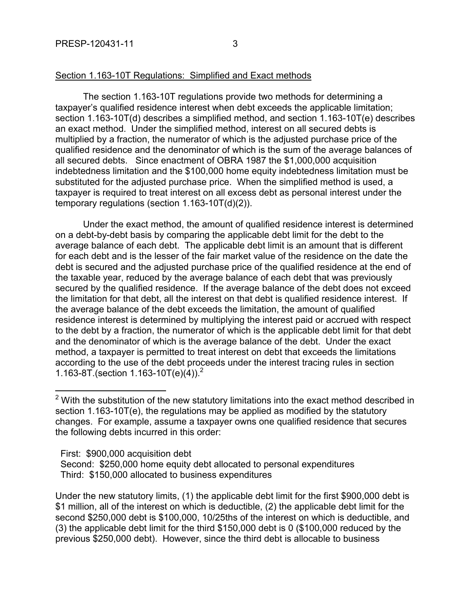## Section 1.163-10T Regulations: Simplified and Exact methods

The section 1.163-10T regulations provide two methods for determining a taxpayer's qualified residence interest when debt exceeds the applicable limitation; section 1.163-10T(d) describes a simplified method, and section 1.163-10T(e) describes an exact method. Under the simplified method, interest on all secured debts is multiplied by a fraction, the numerator of which is the adjusted purchase price of the qualified residence and the denominator of which is the sum of the average balances of all secured debts. Since enactment of OBRA 1987 the \$1,000,000 acquisition indebtedness limitation and the \$100,000 home equity indebtedness limitation must be substituted for the adjusted purchase price. When the simplified method is used, a taxpayer is required to treat interest on all excess debt as personal interest under the temporary regulations (section 1.163-10T(d)(2)).

Under the exact method, the amount of qualified residence interest is determined on a debt-by-debt basis by comparing the applicable debt limit for the debt to the average balance of each debt. The applicable debt limit is an amount that is different for each debt and is the lesser of the fair market value of the residence on the date the debt is secured and the adjusted purchase price of the qualified residence at the end of the taxable year, reduced by the average balance of each debt that was previously secured by the qualified residence. If the average balance of the debt does not exceed the limitation for that debt, all the interest on that debt is qualified residence interest. If the average balance of the debt exceeds the limitation, the amount of qualified residence interest is determined by multiplying the interest paid or accrued with respect to the debt by a fraction, the numerator of which is the applicable debt limit for that debt and the denominator of which is the average balance of the debt. Under the exact method, a taxpayer is permitted to treat interest on debt that exceeds the limitations according to the use of the debt proceeds under the interest tracing rules in section 1.163-8T. (section  $1.163 - 10T(e)(4)$ ).<sup>2</sup>

First: \$900,000 acquisition debt

 $\overline{a}$ 

 Second: \$250,000 home equity debt allocated to personal expenditures Third: \$150,000 allocated to business expenditures

Under the new statutory limits, (1) the applicable debt limit for the first \$900,000 debt is \$1 million, all of the interest on which is deductible, (2) the applicable debt limit for the second \$250,000 debt is \$100,000, 10/25ths of the interest on which is deductible, and (3) the applicable debt limit for the third \$150,000 debt is 0 (\$100,000 reduced by the previous \$250,000 debt). However, since the third debt is allocable to business

 $2$  With the substitution of the new statutory limitations into the exact method described in section 1.163-10T(e), the regulations may be applied as modified by the statutory changes. For example, assume a taxpayer owns one qualified residence that secures the following debts incurred in this order: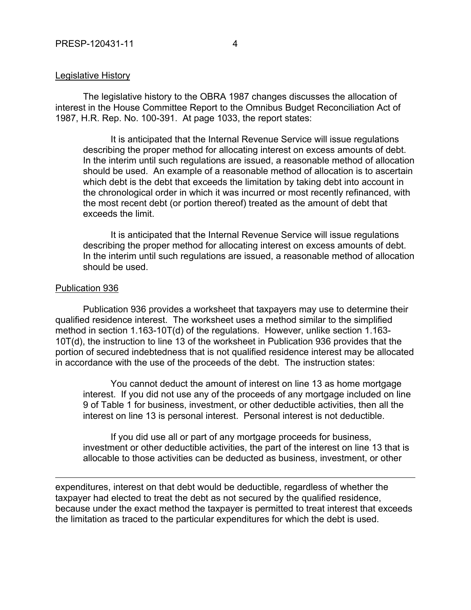#### Legislative History

The legislative history to the OBRA 1987 changes discusses the allocation of interest in the House Committee Report to the Omnibus Budget Reconciliation Act of 1987, H.R. Rep. No. 100-391. At page 1033, the report states:

It is anticipated that the Internal Revenue Service will issue regulations describing the proper method for allocating interest on excess amounts of debt. In the interim until such regulations are issued, a reasonable method of allocation should be used. An example of a reasonable method of allocation is to ascertain which debt is the debt that exceeds the limitation by taking debt into account in the chronological order in which it was incurred or most recently refinanced, with the most recent debt (or portion thereof) treated as the amount of debt that exceeds the limit.

It is anticipated that the Internal Revenue Service will issue regulations describing the proper method for allocating interest on excess amounts of debt. In the interim until such regulations are issued, a reasonable method of allocation should be used.

#### Publication 936

 $\overline{a}$ 

Publication 936 provides a worksheet that taxpayers may use to determine their qualified residence interest. The worksheet uses a method similar to the simplified method in section 1.163-10T(d) of the regulations. However, unlike section 1.163- 10T(d), the instruction to line 13 of the worksheet in Publication 936 provides that the portion of secured indebtedness that is not qualified residence interest may be allocated in accordance with the use of the proceeds of the debt. The instruction states:

You cannot deduct the amount of interest on line 13 as home mortgage interest. If you did not use any of the proceeds of any mortgage included on line 9 of Table 1 for business, investment, or other deductible activities, then all the interest on line 13 is personal interest. Personal interest is not deductible.

If you did use all or part of any mortgage proceeds for business, investment or other deductible activities, the part of the interest on line 13 that is allocable to those activities can be deducted as business, investment, or other

expenditures, interest on that debt would be deductible, regardless of whether the taxpayer had elected to treat the debt as not secured by the qualified residence, because under the exact method the taxpayer is permitted to treat interest that exceeds the limitation as traced to the particular expenditures for which the debt is used.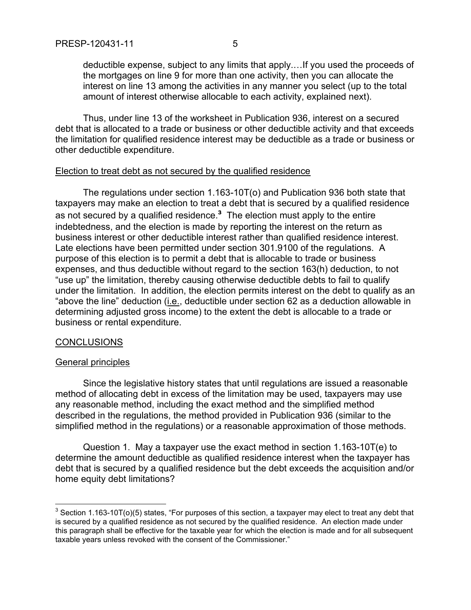deductible expense, subject to any limits that apply.…If you used the proceeds of the mortgages on line 9 for more than one activity, then you can allocate the interest on line 13 among the activities in any manner you select (up to the total amount of interest otherwise allocable to each activity, explained next).

Thus, under line 13 of the worksheet in Publication 936, interest on a secured debt that is allocated to a trade or business or other deductible activity and that exceeds the limitation for qualified residence interest may be deductible as a trade or business or other deductible expenditure.

## Election to treat debt as not secured by the qualified residence

The regulations under section 1.163-10T(o) and Publication 936 both state that taxpayers may make an election to treat a debt that is secured by a qualified residence as not secured by a qualified residence.<sup>3</sup> The election must apply to the entire indebtedness, and the election is made by reporting the interest on the return as business interest or other deductible interest rather than qualified residence interest. Late elections have been permitted under section 301.9100 of the regulations. A purpose of this election is to permit a debt that is allocable to trade or business expenses, and thus deductible without regard to the section 163(h) deduction, to not "use up" the limitation, thereby causing otherwise deductible debts to fail to qualify under the limitation. In addition, the election permits interest on the debt to qualify as an "above the line" deduction (i.e., deductible under section 62 as a deduction allowable in determining adjusted gross income) to the extent the debt is allocable to a trade or business or rental expenditure.

## CONCLUSIONS

## General principles

Since the legislative history states that until regulations are issued a reasonable method of allocating debt in excess of the limitation may be used, taxpayers may use any reasonable method, including the exact method and the simplified method described in the regulations, the method provided in Publication 936 (similar to the simplified method in the regulations) or a reasonable approximation of those methods.

Question 1. May a taxpayer use the exact method in section 1.163-10T(e) to determine the amount deductible as qualified residence interest when the taxpayer has debt that is secured by a qualified residence but the debt exceeds the acquisition and/or home equity debt limitations?

 3 Section 1.163-10T(o)(5) states, "For purposes of this section, a taxpayer may elect to treat any debt that is secured by a qualified residence as not secured by the qualified residence. An election made under this paragraph shall be effective for the taxable year for which the election is made and for all subsequent taxable years unless revoked with the consent of the Commissioner."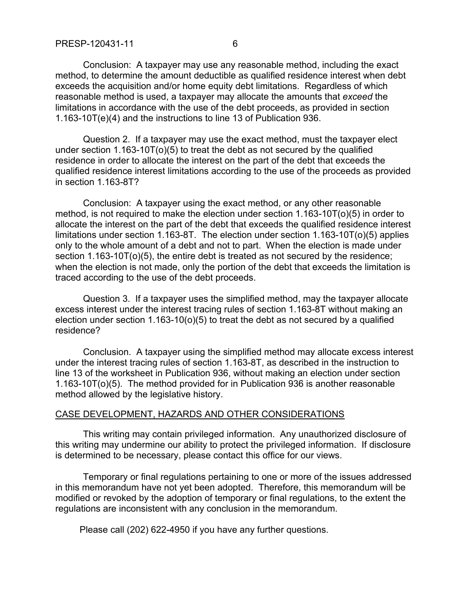method, to determine the amount deductible as qualified residence interest when debt exceeds the acquisition and/or home equity debt limitations. Regardless of which reasonable method is used, a taxpayer may allocate the amounts that *exceed* the limitations in accordance with the use of the debt proceeds, as provided in section 1.163-10T(e)(4) and the instructions to line 13 of Publication 936.

Question 2. If a taxpayer may use the exact method, must the taxpayer elect under section 1.163-10T(o)(5) to treat the debt as not secured by the qualified residence in order to allocate the interest on the part of the debt that exceeds the qualified residence interest limitations according to the use of the proceeds as provided in section 1.163-8T?

Conclusion: A taxpayer using the exact method, or any other reasonable method, is not required to make the election under section 1.163-10T(o)(5) in order to allocate the interest on the part of the debt that exceeds the qualified residence interest limitations under section 1.163-8T. The election under section 1.163-10T(o)(5) applies only to the whole amount of a debt and not to part. When the election is made under section 1.163-10T(o)(5), the entire debt is treated as not secured by the residence; when the election is not made, only the portion of the debt that exceeds the limitation is traced according to the use of the debt proceeds.

Question 3. If a taxpayer uses the simplified method, may the taxpayer allocate excess interest under the interest tracing rules of section 1.163-8T without making an election under section 1.163-10(o)(5) to treat the debt as not secured by a qualified residence?

Conclusion. A taxpayer using the simplified method may allocate excess interest under the interest tracing rules of section 1.163-8T, as described in the instruction to line 13 of the worksheet in Publication 936, without making an election under section 1.163-10T(o)(5). The method provided for in Publication 936 is another reasonable method allowed by the legislative history.

## CASE DEVELOPMENT, HAZARDS AND OTHER CONSIDERATIONS

This writing may contain privileged information. Any unauthorized disclosure of this writing may undermine our ability to protect the privileged information. If disclosure is determined to be necessary, please contact this office for our views.

Temporary or final regulations pertaining to one or more of the issues addressed in this memorandum have not yet been adopted. Therefore, this memorandum will be modified or revoked by the adoption of temporary or final regulations, to the extent the regulations are inconsistent with any conclusion in the memorandum.

Please call (202) 622-4950 if you have any further questions.